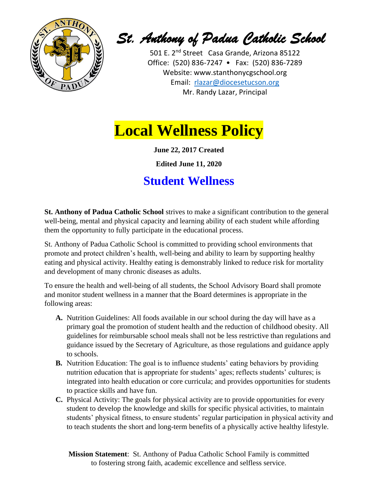

*St. Anthony of Padua Catholic School* 

501 E. 2<sup>nd</sup> Street Casa Grande, Arizona 85122 Office: (520) 836-7247 • Fax: (520) 836-7289 Website: [www.stanthonycgschool.org](http://www.stanthonycgschool.org/) Email: [rlazar@diocesetucson.org](mailto:rlazar@diocesetucson.org) Mr. Randy Lazar, Principal

## **Local Wellness Policy**

**June 22, 2017 Created**

**Edited June 11, 2020**

## **Student Wellness**

**St. Anthony of Padua Catholic School** strives to make a significant contribution to the general well-being, mental and physical capacity and learning ability of each student while affording them the opportunity to fully participate in the educational process.

St. Anthony of Padua Catholic School is committed to providing school environments that promote and protect children's health, well-being and ability to learn by supporting healthy eating and physical activity. Healthy eating is demonstrably linked to reduce risk for mortality and development of many chronic diseases as adults.

To ensure the health and well-being of all students, the School Advisory Board shall promote and monitor student wellness in a manner that the Board determines is appropriate in the following areas:

- **A.** Nutrition Guidelines: All foods available in our school during the day will have as a primary goal the promotion of student health and the reduction of childhood obesity. All guidelines for reimbursable school meals shall not be less restrictive than regulations and guidance issued by the Secretary of Agriculture, as those regulations and guidance apply to schools.
- **B.** Nutrition Education: The goal is to influence students' eating behaviors by providing nutrition education that is appropriate for students' ages; reflects students' cultures; is integrated into health education or core curricula; and provides opportunities for students to practice skills and have fun.
- **C.** Physical Activity: The goals for physical activity are to provide opportunities for every student to develop the knowledge and skills for specific physical activities, to maintain students' physical fitness, to ensure students' regular participation in physical activity and to teach students the short and long-term benefits of a physically active healthy lifestyle.

**Mission Statement**: St. Anthony of Padua Catholic School Family is committed to fostering strong faith, academic excellence and selfless service.